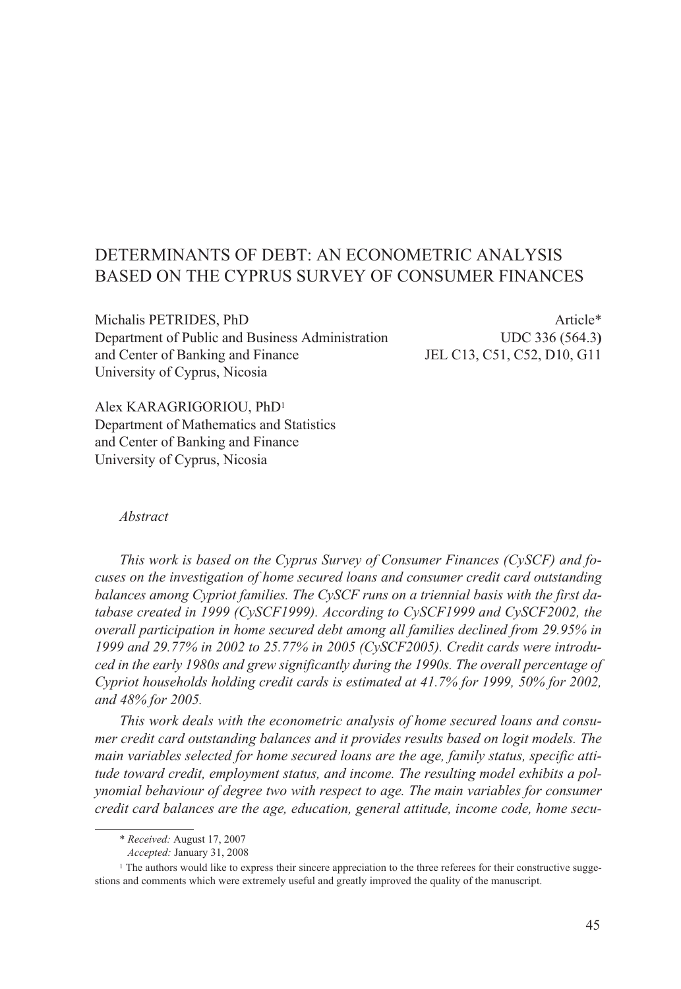# DETERMINANTS OF DEBT: AN ECONOMETRIC ANALYSIS BASED ON THE CYPRUS SURVEY OF CONSUMER FINANCES

Michalis PETRIDES, PhD Article\* Department of Public and Business AdministrationUDC 336 (564.3**)** and Center of Banking and Finance JEL C13, C51, C52, D10, G11 University of Cyprus, Nicosia

Alex KARAGRIGORIOU, PhD1 Department of Mathematics and Statistics and Center of Banking and Finance University of Cyprus, Nicosia

#### *Abstract*

*This work is based on the Cyprus Survey of Consumer Finances (CySCF) and focuses on the investigation of home secured loans and consumer credit card outstanding balances among Cypriot families. The CySCF runs on a triennial basis with the first database created in 1999 (CySCF1999). According to CySCF1999 and CySCF2002, the overall participation in home secured debt among all families declined from 29.95% in 1999 and 29.77% in 2002 to 25.77% in 2005 (CySCF2005). Credit cards were introduced in the early 1980s and grew significantly during the 1990s. The overall percentage of Cypriot households holding credit cards is estimated at 41.7% for 1999, 50% for 2002, and 48% for 2005.*

*This work deals with the econometric analysis of home secured loans and consumer credit card outstanding balances and it provides results based on logit models. The main variables selected for home secured loans are the age, family status, specific attitude toward credit, employment status, and income. The resulting model exhibits a polynomial behaviour of degree two with respect to age. The main variables for consumer credit card balances are the age, education, general attitude, income code, home secu-*

<sup>\*</sup> *Received:* August 17, 2007

*Accepted:* January 31, 2008

<sup>&</sup>lt;sup>1</sup> The authors would like to express their sincere appreciation to the three referees for their constructive suggestions and comments which were extremely useful and greatly improved the quality of the manuscript.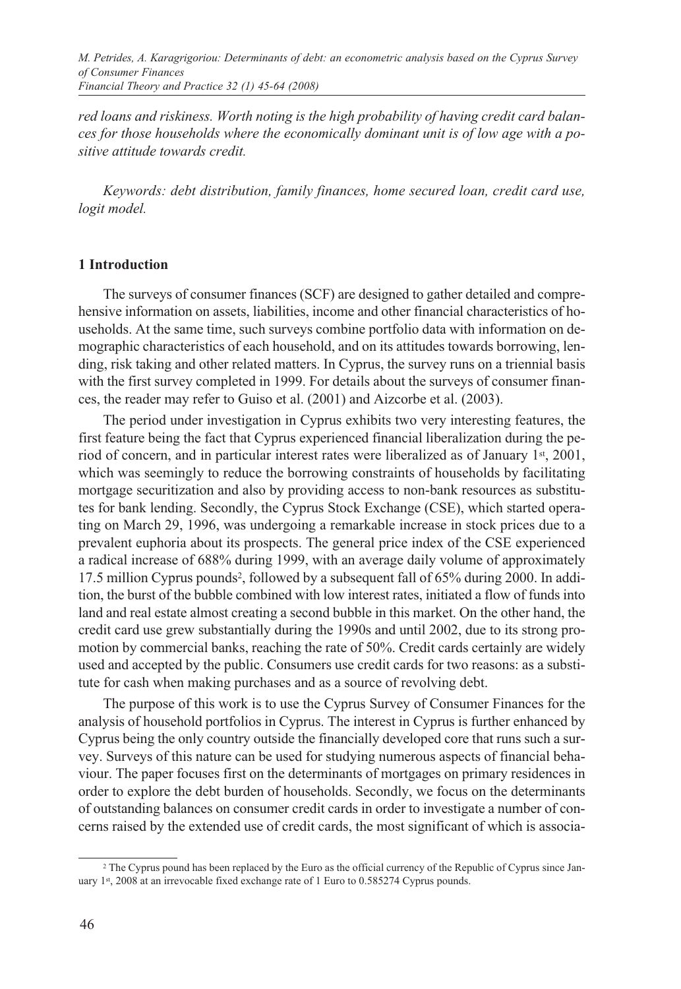*red loans and riskiness. Worth noting is the high probability of having credit card balances for those households where the economically dominant unit is of low age with a positive attitude towards credit.* 

*Keywords: debt distribution, family finances, home secured loan, credit card use, logit model.*

#### **1 Introduction**

The surveys of consumer finances (SCF) are designed to gather detailed and comprehensive information on assets, liabilities, income and other financial characteristics of households. At the same time, such surveys combine portfolio data with information on demographic characteristics of each household, and on its attitudes towards borrowing, lending, risk taking and other related matters. In Cyprus, the survey runs on a triennial basis with the first survey completed in 1999. For details about the surveys of consumer finances, the reader may refer to Guiso et al. (2001) and Aizcorbe et al. (2003).

The period under investigation in Cyprus exhibits two very interesting features, the first feature being the fact that Cyprus experienced financial liberalization during the period of concern, and in particular interest rates were liberalized as of January  $1<sup>st</sup>$ , 2001, which was seemingly to reduce the borrowing constraints of households by facilitating mortgage securitization and also by providing access to non-bank resources as substitutes for bank lending. Secondly, the Cyprus Stock Exchange (CSE), which started operating on March 29, 1996, was undergoing a remarkable increase in stock prices due to a prevalent euphoria about its prospects. The general price index of the CSE experienced a radical increase of 688% during 1999, with an average daily volume of approximately 17.5 million Cyprus pounds2, followed by a subsequent fall of 65% during 2000. In addition, the burst of the bubble combined with low interest rates, initiated a flow of funds into land and real estate almost creating a second bubble in this market. On the other hand, the credit card use grew substantially during the 1990s and until 2002, due to its strong promotion by commercial banks, reaching the rate of 50%. Credit cards certainly are widely used and accepted by the public. Consumers use credit cards for two reasons: as a substitute for cash when making purchases and as a source of revolving debt.

The purpose of this work is to use the Cyprus Survey of Consumer Finances for the analysis of household portfolios in Cyprus. The interest in Cyprus is further enhanced by Cyprus being the only country outside the financially developed core that runs such a survey. Surveys of this nature can be used for studying numerous aspects of financial behaviour. The paper focuses first on the determinants of mortgages on primary residences in order to explore the debt burden of households. Secondly, we focus on the determinants of outstanding balances on consumer credit cards in order to investigate a number of concerns raised by the extended use of credit cards, the most significant of which is associa-

<sup>2</sup> The Cyprus pound has been replaced by the Euro as the official currency of the Republic of Cyprus since January 1st, 2008 at an irrevocable fixed exchange rate of 1 Euro to 0.585274 Cyprus pounds.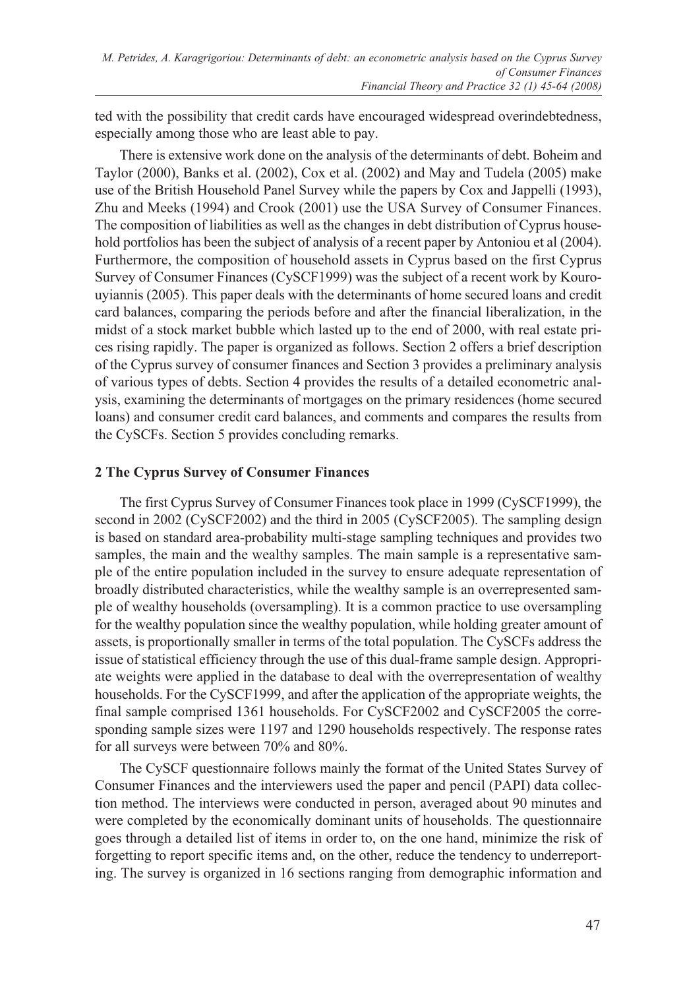ted with the possibility that credit cards have encouraged widespread overindebtedness, especially among those who are least able to pay.

There is extensive work done on the analysis of the determinants of debt. Boheim and Taylor (2000), Banks et al. (2002), Cox et al. (2002) and May and Tudela (2005) make use of the British Household Panel Survey while the papers by Cox and Jappelli (1993), Zhu and Meeks (1994) and Crook (2001) use the USA Survey of Consumer Finances. The composition of liabilities as well as the changes in debt distribution of Cyprus household portfolios has been the subject of analysis of a recent paper by Antoniou et al (2004). Furthermore, the composition of household assets in Cyprus based on the first Cyprus Survey of Consumer Finances (CySCF1999) was the subject of a recent work by Kourouyiannis (2005). This paper deals with the determinants of home secured loans and credit card balances, comparing the periods before and after the financial liberalization, in the midst of a stock market bubble which lasted up to the end of 2000, with real estate prices rising rapidly. The paper is organized as follows. Section 2 offers a brief description of the Cyprus survey of consumer finances and Section 3 provides a preliminary analysis of various types of debts. Section 4 provides the results of a detailed econometric analysis, examining the determinants of mortgages on the primary residences (home secured loans) and consumer credit card balances, and comments and compares the results from the CySCFs. Section 5 provides concluding remarks.

# **2 The Cyprus Survey of Consumer Finances**

The first Cyprus Survey of Consumer Finances took place in 1999 (CySCF1999), the second in 2002 (CySCF2002) and the third in 2005 (CySCF2005). The sampling design is based on standard area-probability multi-stage sampling techniques and provides two samples, the main and the wealthy samples. The main sample is a representative sample of the entire population included in the survey to ensure adequate representation of broadly distributed characteristics, while the wealthy sample is an overrepresented sample of wealthy households (oversampling). It is a common practice to use oversampling for the wealthy population since the wealthy population, while holding greater amount of assets, is proportionally smaller in terms of the total population. The CySCFs address the issue of statistical efficiency through the use of this dual-frame sample design. Appropriate weights were applied in the database to deal with the overrepresentation of wealthy households. For the CySCF1999, and after the application of the appropriate weights, the final sample comprised 1361 households. For CySCF2002 and CySCF2005 the corresponding sample sizes were 1197 and 1290 households respectively. The response rates for all surveys were between 70% and 80%.

The CySCF questionnaire follows mainly the format of the United States Survey of Consumer Finances and the interviewers used the paper and pencil (PAPI) data collection method. The interviews were conducted in person, averaged about 90 minutes and were completed by the economically dominant units of households. The questionnaire goes through a detailed list of items in order to, on the one hand, minimize the risk of forgetting to report specific items and, on the other, reduce the tendency to underreporting. The survey is organized in 16 sections ranging from demographic information and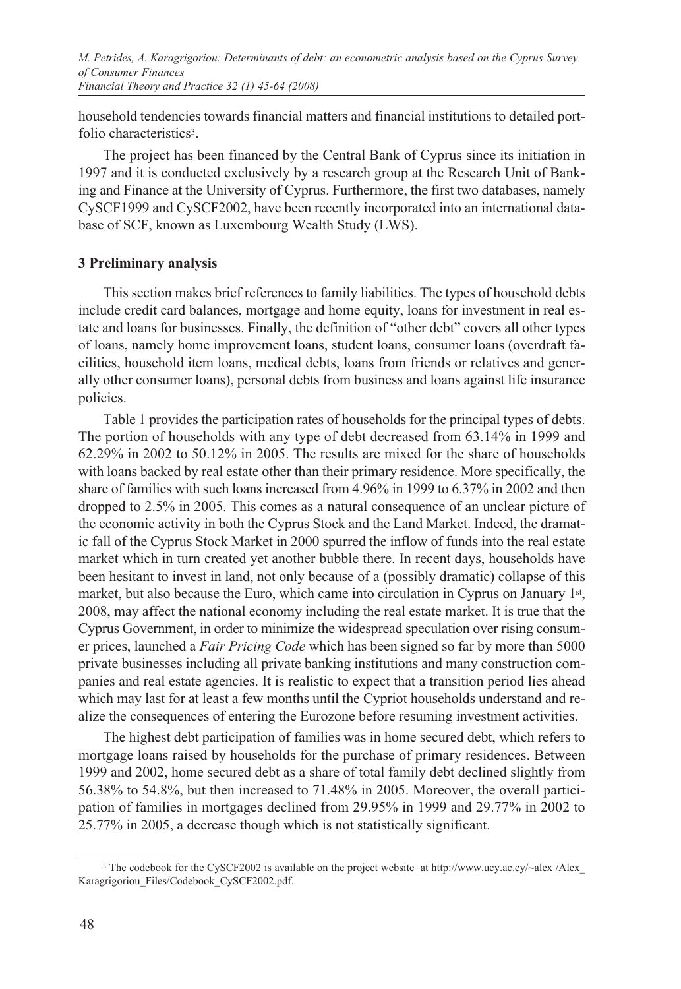*M. Petrides, A. Karagrigoriou: Determinants of debt: an econometric analysis based on the Cyprus Survey of Consumer Finances Financial Theory and Practice 32 (1) 45-64 (2008)*

household tendencies towards financial matters and financial institutions to detailed portfolio characteristics<sup>3</sup>.

The project has been financed by the Central Bank of Cyprus since its initiation in 1997 and it is conducted exclusively by a research group at the Research Unit of Banking and Finance at the University of Cyprus. Furthermore, the first two databases, namely CySCF1999 and CySCF2002, have been recently incorporated into an international database of SCF, known as Luxembourg Wealth Study (LWS).

#### **3 Preliminary analysis**

This section makes brief references to family liabilities. The types of household debts include credit card balances, mortgage and home equity, loans for investment in real estate and loans for businesses. Finally, the definition of "other debt" covers all other types of loans, namely home improvement loans, student loans, consumer loans (overdraft facilities, household item loans, medical debts, loans from friends or relatives and generally other consumer loans), personal debts from business and loans against life insurance policies.

Table 1 provides the participation rates of households for the principal types of debts. The portion of households with any type of debt decreased from 63.14% in 1999 and 62.29% in 2002 to 50.12% in 2005. The results are mixed for the share of households with loans backed by real estate other than their primary residence. More specifically, the share of families with such loans increased from 4.96% in 1999 to 6.37% in 2002 and then dropped to 2.5% in 2005. This comes as a natural consequence of an unclear picture of the economic activity in both the Cyprus Stock and the Land Market. Indeed, the dramatic fall of the Cyprus Stock Market in 2000 spurred the inflow of funds into the real estate market which in turn created yet another bubble there. In recent days, households have been hesitant to invest in land, not only because of a (possibly dramatic) collapse of this market, but also because the Euro, which came into circulation in Cyprus on January 1st, 2008, may affect the national economy including the real estate market. It is true that the Cyprus Government, in order to minimize the widespread speculation over rising consumer prices, launched a *Fair Pricing Code* which has been signed so far by more than 5000 private businesses including all private banking institutions and many construction companies and real estate agencies. It is realistic to expect that a transition period lies ahead which may last for at least a few months until the Cypriot households understand and realize the consequences of entering the Eurozone before resuming investment activities.

The highest debt participation of families was in home secured debt, which refers to mortgage loans raised by households for the purchase of primary residences. Between 1999 and 2002, home secured debt as a share of total family debt declined slightly from 56.38% to 54.8%, but then increased to 71.48% in 2005. Moreover, the overall participation of families in mortgages declined from 29.95% in 1999 and 29.77% in 2002 to 25.77% in 2005, a decrease though which is not statistically significant.

<sup>&</sup>lt;sup>3</sup> The codebook for the CySCF2002 is available on the project website at http://www.ucy.ac.cy/~alex /Alex\_ Karagrigoriou\_Files/Codebook\_CySCF2002.pdf.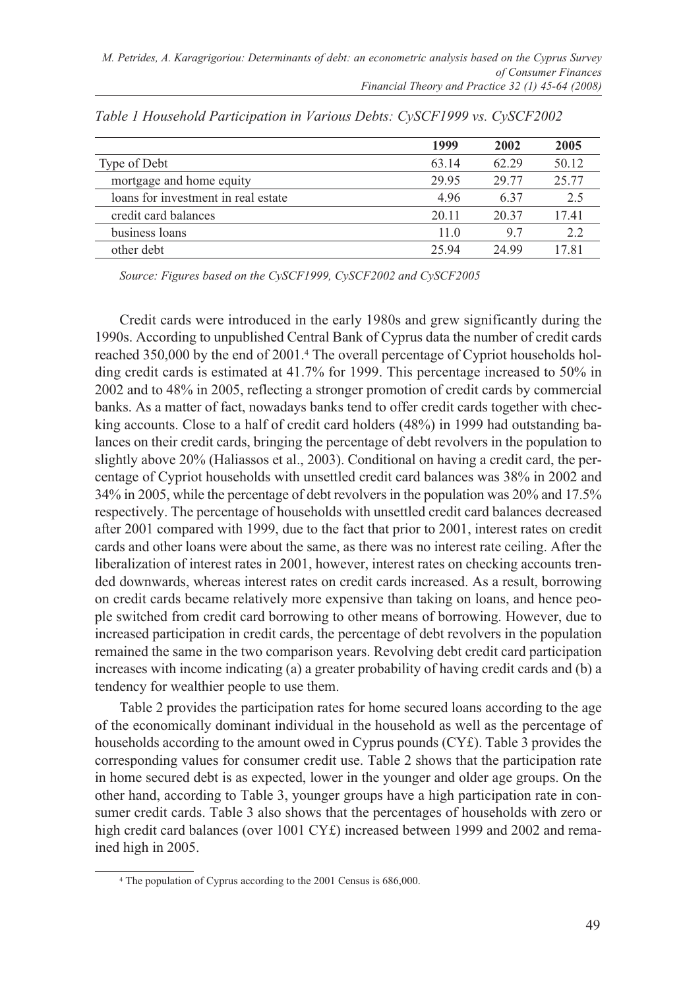|                                     | 1999  | 2002  | 2005  |
|-------------------------------------|-------|-------|-------|
| Type of Debt                        | 63.14 | 62.29 | 50.12 |
| mortgage and home equity            | 29.95 | 29.77 | 25.77 |
| loans for investment in real estate | 4.96  | 637   | 2.5   |
| credit card balances                | 20.11 | 20.37 | 17.41 |
| business loans                      | 11.0  | 9.7   | 2.2   |
| other debt                          | 25.94 | 24.99 | 17.81 |

*Table 1 Household Participation in Various Debts: CySCF1999 vs. CySCF2002* 

*Source: Figures based on the CySCF1999, CySCF2002 and CySCF2005*

Credit cards were introduced in the early 1980s and grew significantly during the 1990s. According to unpublished Central Bank of Cyprus data the number of credit cards reached 350,000 by the end of 2001.4 The overall percentage of Cypriot households holding credit cards is estimated at 41.7% for 1999. This percentage increased to 50% in 2002 and to 48% in 2005, reflecting a stronger promotion of credit cards by commercial banks. As a matter of fact, nowadays banks tend to offer credit cards together with checking accounts. Close to a half of credit card holders (48%) in 1999 had outstanding balances on their credit cards, bringing the percentage of debt revolvers in the population to slightly above 20% (Haliassos et al., 2003). Conditional on having a credit card, the percentage of Cypriot households with unsettled credit card balances was 38% in 2002 and 34% in 2005, while the percentage of debt revolvers in the population was 20% and 17.5% respectively. The percentage of households with unsettled credit card balances decreased after 2001 compared with 1999, due to the fact that prior to 2001, interest rates on credit cards and other loans were about the same, as there was no interest rate ceiling. After the liberalization of interest rates in 2001, however, interest rates on checking accounts trended downwards, whereas interest rates on credit cards increased. As a result, borrowing on credit cards became relatively more expensive than taking on loans, and hence people switched from credit card borrowing to other means of borrowing. However, due to increased participation in credit cards, the percentage of debt revolvers in the population remained the same in the two comparison years. Revolving debt credit card participation increases with income indicating (a) a greater probability of having credit cards and (b) a tendency for wealthier people to use them.

Table 2 provides the participation rates for home secured loans according to the age of the economically dominant individual in the household as well as the percentage of households according to the amount owed in Cyprus pounds (CY£). Table 3 provides the corresponding values for consumer credit use. Table 2 shows that the participation rate in home secured debt is as expected, lower in the younger and older age groups. On the other hand, according to Table 3, younger groups have a high participation rate in consumer credit cards. Table 3 also shows that the percentages of households with zero or high credit card balances (over 1001 CY£) increased between 1999 and 2002 and remained high in 2005.

<sup>4</sup> The population of Cyprus according to the 2001 Census is 686,000.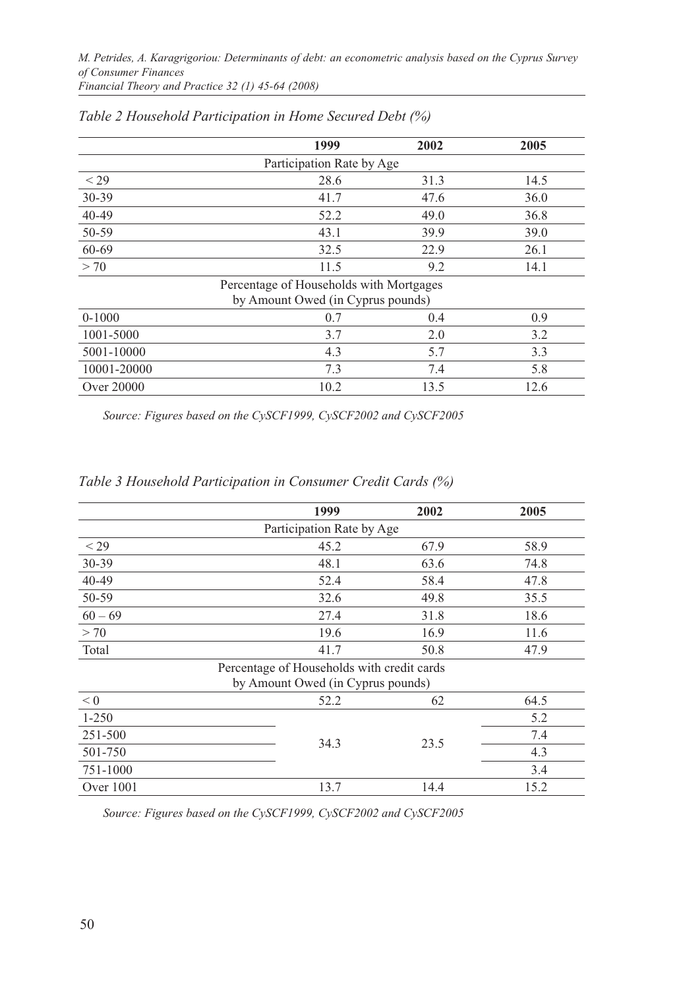|                                   | 1999                                    | 2002 | 2005 |  |  |  |  |  |
|-----------------------------------|-----------------------------------------|------|------|--|--|--|--|--|
| Participation Rate by Age         |                                         |      |      |  |  |  |  |  |
| $<$ 29                            | 28.6                                    | 31.3 | 14.5 |  |  |  |  |  |
| 30-39                             | 41.7                                    | 47.6 | 36.0 |  |  |  |  |  |
| $40 - 49$                         | 52.2                                    | 49.0 | 36.8 |  |  |  |  |  |
| 50-59                             | 43.1                                    | 39.9 | 39.0 |  |  |  |  |  |
| 60-69                             | 32.5                                    | 22.9 | 26.1 |  |  |  |  |  |
| > 70                              | 11.5                                    | 9.2  | 14.1 |  |  |  |  |  |
|                                   | Percentage of Households with Mortgages |      |      |  |  |  |  |  |
| by Amount Owed (in Cyprus pounds) |                                         |      |      |  |  |  |  |  |
| $0-1000$                          | 0.7                                     | 0.4  | 0.9  |  |  |  |  |  |
| 1001-5000                         | 3.7                                     | 2.0  | 3.2  |  |  |  |  |  |
| 5001-10000                        | 4.3                                     | 5.7  | 3.3  |  |  |  |  |  |
| 10001-20000                       | 7.3                                     | 7.4  | 5.8  |  |  |  |  |  |
| <b>Over 20000</b>                 | 10.2                                    | 13.5 | 12.6 |  |  |  |  |  |

### *Table 2 Household Participation in Home Secured Debt (%)*

*Source: Figures based on the CySCF1999, CySCF2002 and CySCF2005*

|             | 1999                                       | 2002 | 2005 |
|-------------|--------------------------------------------|------|------|
|             | Participation Rate by Age                  |      |      |
| $<$ 29      | 45.2                                       | 67.9 | 58.9 |
| $30 - 39$   | 48.1                                       | 63.6 | 74.8 |
| 40-49       | 52.4                                       | 58.4 | 47.8 |
| 50-59       | 32.6                                       | 49.8 | 35.5 |
| $60 - 69$   | 27.4                                       | 31.8 | 18.6 |
| > 70        | 19.6                                       | 16.9 | 11.6 |
| Total       | 41.7                                       | 50.8 | 47.9 |
|             | Percentage of Households with credit cards |      |      |
|             | by Amount Owed (in Cyprus pounds)          |      |      |
| < 0         | 52.2                                       | 62   | 64.5 |
| $1 - 250$   |                                            |      | 5.2  |
| 251-500     |                                            |      | 7.4  |
| 501-750     | 34.3                                       | 23.5 | 4.3  |
| 751-1000    |                                            |      | 3.4  |
| Over $1001$ | 13.7                                       | 14.4 | 15.2 |

### *Table 3 Household Participation in Consumer Credit Cards (%)*

*Source: Figures based on the CySCF1999, CySCF2002 and CySCF2005*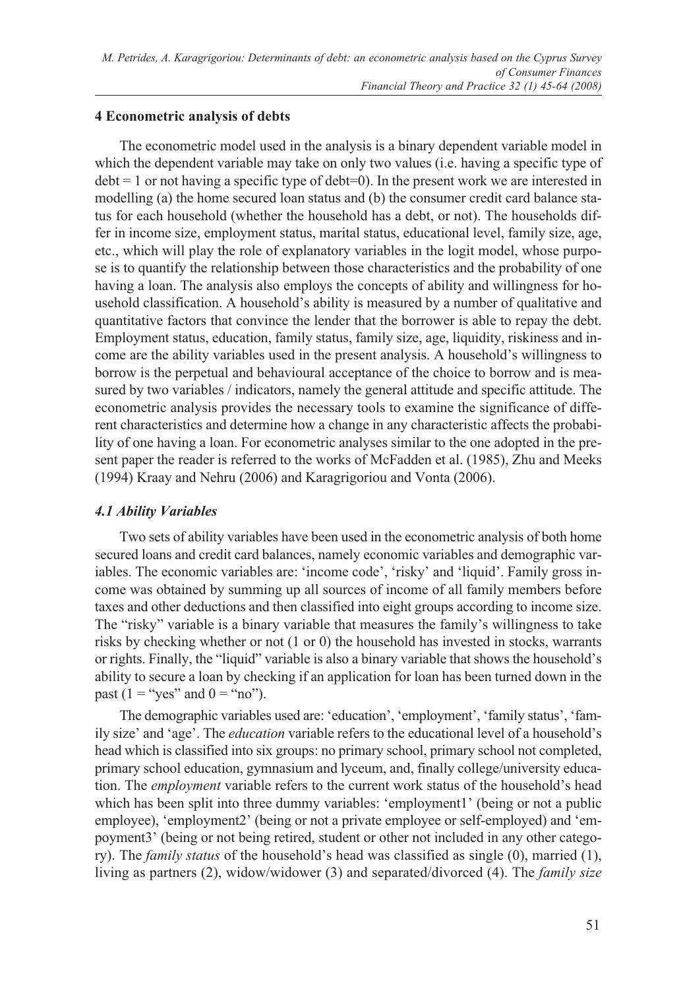# **4 Econometric analysis of debts**

The econometric model used in the analysis is a binary dependent variable model in which the dependent variable may take on only two values (i.e. having a specific type of  $\text{debt} = 1$  or not having a specific type of  $\text{debt} = 0$ ). In the present work we are interested in modelling (a) the home secured loan status and (b) the consumer credit card balance status for each household (whether the household has a debt, or not). The households differ in income size, employment status, marital status, educational level, family size, age, etc., which will play the role of explanatory variables in the logit model, whose purpose is to quantify the relationship between those characteristics and the probability of one having a loan. The analysis also employs the concepts of ability and willingness for household classification. A household's ability is measured by a number of qualitative and quantitative factors that convince the lender that the borrower is able to repay the debt. Employment status, education, family status, family size, age, liquidity, riskiness and income are the ability variables used in the present analysis. A household's willingness to borrow is the perpetual and behavioural acceptance of the choice to borrow and is measured by two variables / indicators, namely the general attitude and specific attitude. The econometric analysis provides the necessary tools to examine the significance of different characteristics and determine how a change in any characteristic affects the probability of one having a loan. For econometric analyses similar to the one adopted in the present paper the reader is referred to the works of McFadden et al. (1985), Zhu and Meeks (1994) Kraay and Nehru (2006) and Karagrigoriou and Vonta (2006).

### *4.1 Ability Variables*

Two sets of ability variables have been used in the econometric analysis of both home secured loans and credit card balances, namely economic variables and demographic variables. The economic variables are: 'income code', 'risky' and 'liquid'. Family gross income was obtained by summing up all sources of income of all family members before taxes and other deductions and then classified into eight groups according to income size. The "risky" variable is a binary variable that measures the family's willingness to take risks by checking whether or not (1 or 0) the household has invested in stocks, warrants or rights. Finally, the "liquid" variable is also a binary variable that shows the household's ability to secure a loan by checking if an application for loan has been turned down in the past (1 = "yes" and  $0 =$  "no").

The demographic variables used are: 'education', 'employment', 'family status', 'family size' and 'age'. The *education* variable refers to the educational level of a household's head which is classified into six groups: no primary school, primary school not completed, primary school education, gymnasium and lyceum, and, finally college/university education. The *employment* variable refers to the current work status of the household's head which has been split into three dummy variables: 'employment1' (being or not a public employee), 'employment2' (being or not a private employee or self-employed) and 'empoyment3' (being or not being retired, student or other not included in any other category). The *family status* of the household's head was classified as single (0), married (1), living as partners (2), widow/widower (3) and separated/divorced (4). The *family size*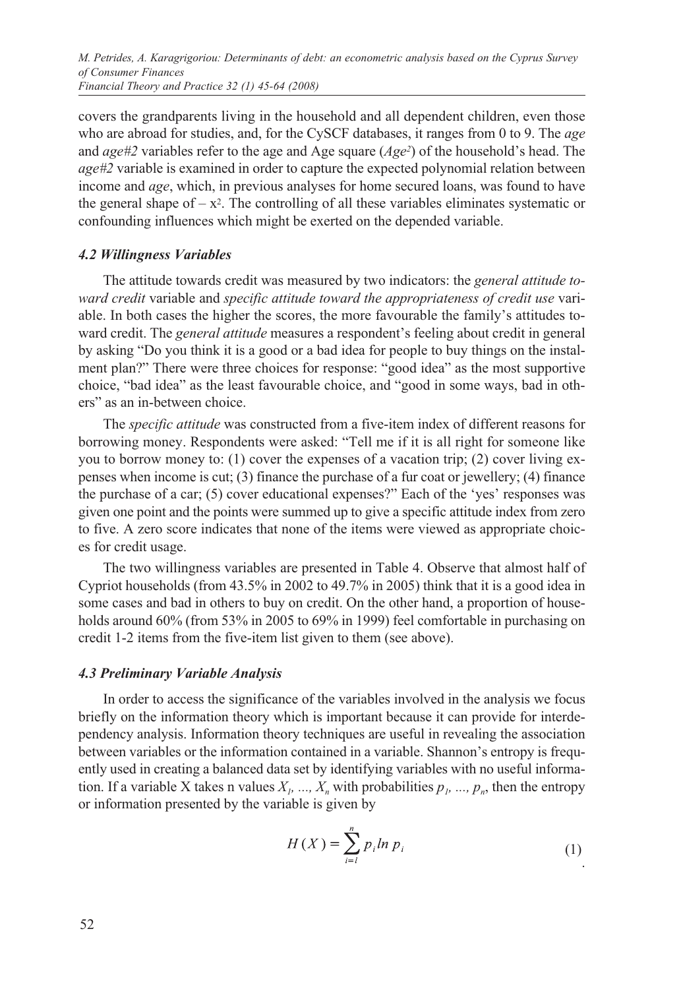covers the grandparents living in the household and all dependent children, even those who are abroad for studies, and, for the CySCF databases, it ranges from 0 to 9. The *age* and *age#2* variables refer to the age and Age square (*Age2*) of the household's head. The *age#2* variable is examined in order to capture the expected polynomial relation between income and *age*, which, in previous analyses for home secured loans, was found to have the general shape of  $-x^2$ . The controlling of all these variables eliminates systematic or confounding influences which might be exerted on the depended variable.

### *4.2 Willingness Variables*

The attitude towards credit was measured by two indicators: the *general attitude toward credit* variable and *specific attitude toward the appropriateness of credit use* variable. In both cases the higher the scores, the more favourable the family's attitudes toward credit. The *general attitude* measures a respondent's feeling about credit in general by asking "Do you think it is a good or a bad idea for people to buy things on the instalment plan?" There were three choices for response: "good idea" as the most supportive choice, "bad idea" as the least favourable choice, and "good in some ways, bad in others" as an in-between choice.

The *specific attitude* was constructed from a five-item index of different reasons for borrowing money. Respondents were asked: "Tell me if it is all right for someone like you to borrow money to: (1) cover the expenses of a vacation trip; (2) cover living expenses when income is cut; (3) finance the purchase of a fur coat or jewellery; (4) finance the purchase of a car; (5) cover educational expenses?" Each of the 'yes' responses was given one point and the points were summed up to give a specific attitude index from zero to five. A zero score indicates that none of the items were viewed as appropriate choices for credit usage.

The two willingness variables are presented in Table 4. Observe that almost half of Cypriot households (from 43.5% in 2002 to 49.7% in 2005) think that it is a good idea in some cases and bad in others to buy on credit. On the other hand, a proportion of households around 60% (from 53% in 2005 to 69% in 1999) feel comfortable in purchasing on credit 1-2 items from the five-item list given to them (see above).

### *4.3 Preliminary Variable Analysis*

In order to access the significance of the variables involved in the analysis we focus briefly on the information theory which is important because it can provide for interdependency analysis. Information theory techniques are useful in revealing the association between variables or the information contained in a variable. Shannon's entropy is frequently used in creating a balanced data set by identifying variables with no useful information. If a variable X takes n values  $X<sub>p</sub>$  ...,  $X<sub>n</sub>$  with probabilities  $p<sub>p</sub>$  ...,  $p<sub>n</sub>$ , then the entropy or information presented by the variable is given by

$$
H(X) = \sum_{i=1}^{n} p_i \ln p_i
$$
 (1)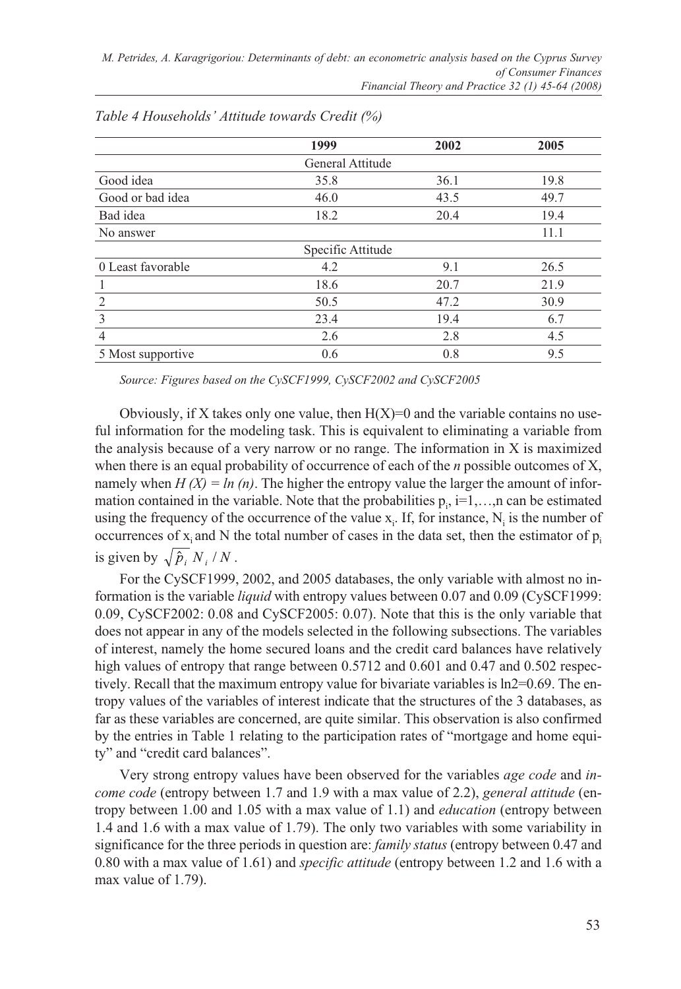|                   | 1999              | 2002 | 2005 |
|-------------------|-------------------|------|------|
|                   | General Attitude  |      |      |
| Good idea         | 35.8              | 36.1 | 19.8 |
| Good or bad idea  | 46.0              | 43.5 | 49.7 |
| Bad idea          | 18.2              | 20.4 | 19.4 |
| No answer         |                   |      | 11.1 |
|                   | Specific Attitude |      |      |
| 0 Least favorable | 4.2               | 9.1  | 26.5 |
|                   | 18.6              | 20.7 | 21.9 |
| $\overline{2}$    | 50.5              | 47.2 | 30.9 |
| 3                 | 23.4              | 19.4 | 6.7  |
| $\overline{4}$    | 2.6               | 2.8  | 4.5  |
| 5 Most supportive | 0.6               | 0.8  | 9.5  |

*Table 4 Households' Attitude towards Credit (%)*

*Source: Figures based on the CySCF1999, CySCF2002 and CySCF2005*

Obviously, if X takes only one value, then  $H(X)=0$  and the variable contains no useful information for the modeling task. This is equivalent to eliminating a variable from the analysis because of a very narrow or no range. The information in X is maximized when there is an equal probability of occurrence of each of the *n* possible outcomes of X, namely when  $H(X) = ln(n)$ . The higher the entropy value the larger the amount of information contained in the variable. Note that the probabilities  $p_i$ , i=1,...,n can be estimated using the frequency of the occurrence of the value  $x_i$ . If, for instance,  $N_i$  is the number of occurrences of  $x_i$  and N the total number of cases in the data set, then the estimator of  $p_i$ is given by  $\sqrt{\hat{p}_i N_i/N}$ .

For the CySCF1999, 2002, and 2005 databases, the only variable with almost no information is the variable *liquid* with entropy values between 0.07 and 0.09 (CySCF1999: 0.09, CySCF2002: 0.08 and CySCF2005: 0.07). Note that this is the only variable that does not appear in any of the models selected in the following subsections. The variables of interest, namely the home secured loans and the credit card balances have relatively high values of entropy that range between 0.5712 and 0.601 and 0.47 and 0.502 respectively. Recall that the maximum entropy value for bivariate variables is ln2=0.69. The entropy values of the variables of interest indicate that the structures of the 3 databases, as far as these variables are concerned, are quite similar. This observation is also confirmed by the entries in Table 1 relating to the participation rates of "mortgage and home equity" and "credit card balances".

Very strong entropy values have been observed for the variables *age code* and *income code* (entropy between 1.7 and 1.9 with a max value of 2.2), *general attitude* (entropy between 1.00 and 1.05 with a max value of 1.1) and *education* (entropy between 1.4 and 1.6 with a max value of 1.79). The only two variables with some variability in significance for the three periods in question are: *family status* (entropy between 0.47 and 0.80 with a max value of 1.61) and *specific attitude* (entropy between 1.2 and 1.6 with a max value of 1.79).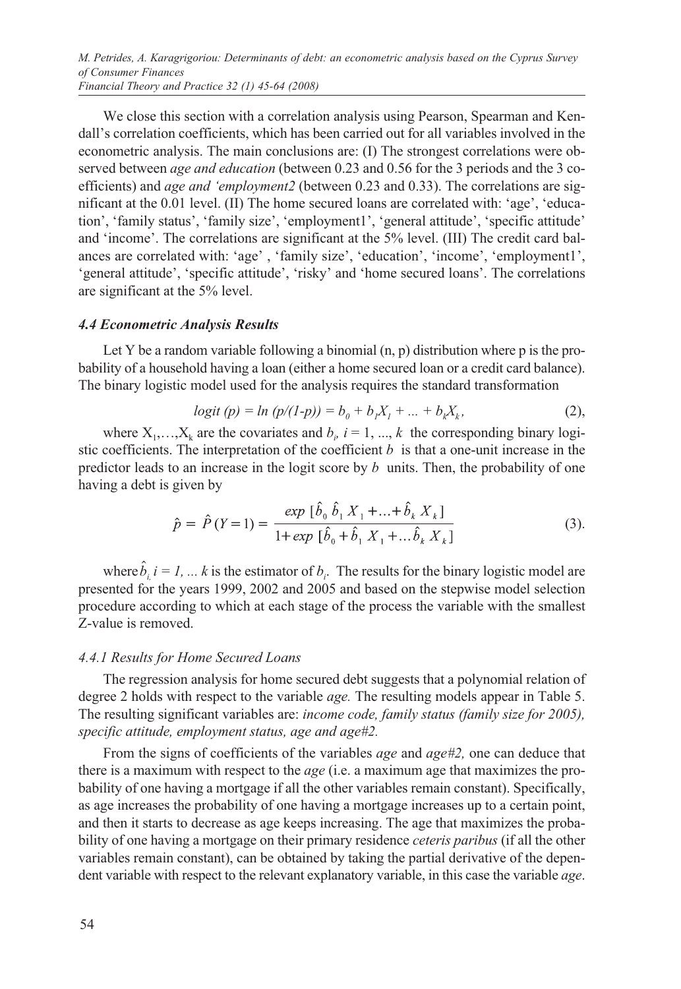*M. Petrides, A. Karagrigoriou: Determinants of debt: an econometric analysis based on the Cyprus Survey of Consumer Finances Financial Theory and Practice 32 (1) 45-64 (2008)*

We close this section with a correlation analysis using Pearson, Spearman and Kendall's correlation coefficients, which has been carried out for all variables involved in the econometric analysis. The main conclusions are: (I) The strongest correlations were observed between *age and education* (between 0.23 and 0.56 for the 3 periods and the 3 coefficients) and *age and 'employment2* (between 0.23 and 0.33). The correlations are significant at the 0.01 level. (II) The home secured loans are correlated with: 'age', 'education', 'family status', 'family size', 'employment1', 'general attitude', 'specific attitude' and 'income'. The correlations are significant at the 5% level. (III) The credit card balances are correlated with: 'age' , 'family size', 'education', 'income', 'employment1', 'general attitude', 'specific attitude', 'risky' and 'home secured loans'. The correlations are significant at the 5% level.

#### *4.4 Econometric Analysis Results*

Let Y be a random variable following a binomial  $(n, p)$  distribution where  $p$  is the probability of a household having a loan (either a home secured loan or a credit card balance). The binary logistic model used for the analysis requires the standard transformation

$$
logit (p) = ln (p/(1-p)) = b_0 + b_1 X_1 + ... + b_k X_k,
$$
\n(2),

where  $X_1, \ldots, X_k$  are the covariates and  $b_i$ ,  $i = 1, \ldots, k$  the corresponding binary logistic coefficients. The interpretation of the coefficient  $b$  is that a one-unit increase in the predictor leads to an increase in the logit score by  $b$  units. Then, the probability of one having a debt is given by

$$
\hat{p} = \hat{P}(Y=1) = \frac{\exp[\hat{b}_0 \hat{b}_1 X_1 + ... + \hat{b}_k X_k]}{1 + \exp[\hat{b}_0 + \hat{b}_1 X_1 + ... \hat{b}_k X_k]}
$$
(3).

where  $\hat{b}_i$  *i* = *1*, ... *k* is the estimator of  $b_i$ . The results for the binary logistic model are presented for the years 1999, 2002 and 2005 and based on the stepwise model selection procedure according to which at each stage of the process the variable with the smallest Z-value is removed.

#### *4.4.1 Results for Home Secured Loans*

The regression analysis for home secured debt suggests that a polynomial relation of degree 2 holds with respect to the variable *age.* The resulting models appear in Table 5. The resulting significant variables are: *income code, family status (family size for 2005), specific attitude, employment status, age and age#2.*

From the signs of coefficients of the variables *age* and *age#2,* one can deduce that there is a maximum with respect to the *age* (i.e. a maximum age that maximizes the probability of one having a mortgage if all the other variables remain constant). Specifically, as age increases the probability of one having a mortgage increases up to a certain point, and then it starts to decrease as age keeps increasing. The age that maximizes the probability of one having a mortgage on their primary residence *ceteris paribus* (if all the other variables remain constant), can be obtained by taking the partial derivative of the dependent variable with respect to the relevant explanatory variable, in this case the variable *age*.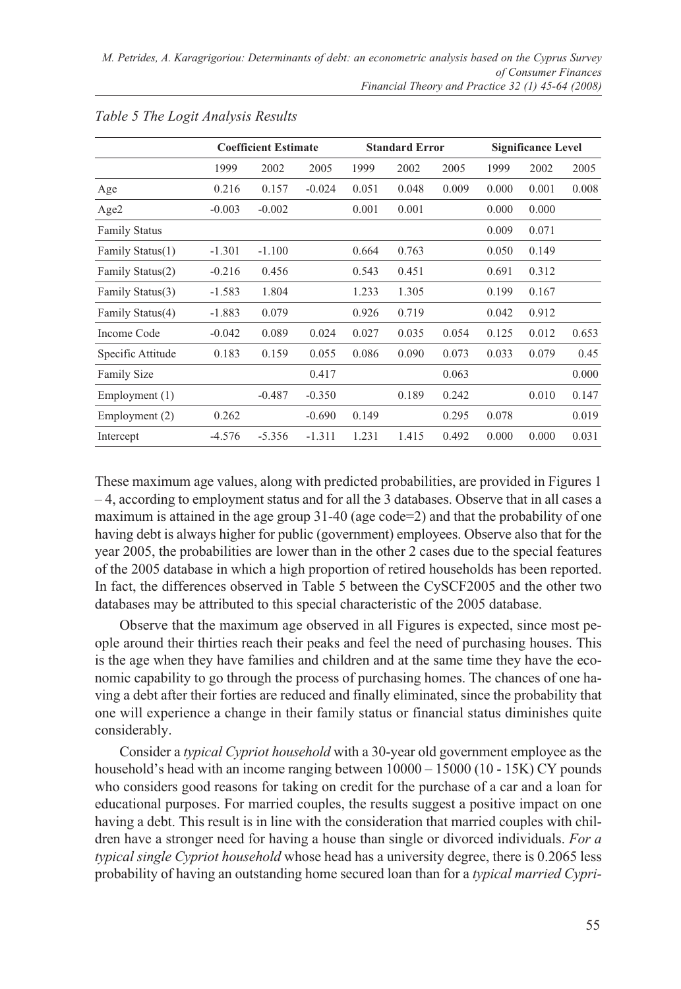|                      | <b>Coefficient Estimate</b> |          |          | <b>Standard Error</b> |       |       | <b>Significance Level</b> |       |       |
|----------------------|-----------------------------|----------|----------|-----------------------|-------|-------|---------------------------|-------|-------|
|                      | 1999                        | 2002     | 2005     | 1999                  | 2002  | 2005  | 1999                      | 2002  | 2005  |
| Age                  | 0.216                       | 0.157    | $-0.024$ | 0.051                 | 0.048 | 0.009 | 0.000                     | 0.001 | 0.008 |
| Age2                 | $-0.003$                    | $-0.002$ |          | 0.001                 | 0.001 |       | 0.000                     | 0.000 |       |
| <b>Family Status</b> |                             |          |          |                       |       |       | 0.009                     | 0.071 |       |
| Family Status(1)     | $-1.301$                    | $-1.100$ |          | 0.664                 | 0.763 |       | 0.050                     | 0.149 |       |
| Family Status(2)     | $-0.216$                    | 0.456    |          | 0.543                 | 0.451 |       | 0.691                     | 0.312 |       |
| Family Status(3)     | $-1.583$                    | 1.804    |          | 1.233                 | 1.305 |       | 0.199                     | 0.167 |       |
| Family Status(4)     | $-1.883$                    | 0.079    |          | 0.926                 | 0.719 |       | 0.042                     | 0.912 |       |
| Income Code          | $-0.042$                    | 0.089    | 0.024    | 0.027                 | 0.035 | 0.054 | 0.125                     | 0.012 | 0.653 |
| Specific Attitude    | 0.183                       | 0.159    | 0.055    | 0.086                 | 0.090 | 0.073 | 0.033                     | 0.079 | 0.45  |
| <b>Family Size</b>   |                             |          | 0.417    |                       |       | 0.063 |                           |       | 0.000 |
| Employment (1)       |                             | $-0.487$ | $-0.350$ |                       | 0.189 | 0.242 |                           | 0.010 | 0.147 |
| Employment (2)       | 0.262                       |          | $-0.690$ | 0.149                 |       | 0.295 | 0.078                     |       | 0.019 |
| Intercept            | $-4.576$                    | $-5.356$ | $-1.311$ | 1.231                 | 1.415 | 0.492 | 0.000                     | 0.000 | 0.031 |

### *Table 5 The Logit Analysis Results*

These maximum age values, along with predicted probabilities, are provided in Figures 1 – 4, according to employment status and for all the 3 databases. Observe that in all cases a maximum is attained in the age group 31-40 (age code=2) and that the probability of one having debt is always higher for public (government) employees. Observe also that for the year 2005, the probabilities are lower than in the other 2 cases due to the special features of the 2005 database in which a high proportion of retired households has been reported. In fact, the differences observed in Table 5 between the CySCF2005 and the other two databases may be attributed to this special characteristic of the 2005 database.

Observe that the maximum age observed in all Figures is expected, since most people around their thirties reach their peaks and feel the need of purchasing houses. This is the age when they have families and children and at the same time they have the economic capability to go through the process of purchasing homes. The chances of one having a debt after their forties are reduced and finally eliminated, since the probability that one will experience a change in their family status or financial status diminishes quite considerably.

Consider a *typical Cypriot household* with a 30-year old government employee as the household's head with an income ranging between  $10000 - 15000$  (10 - 15K) CY pounds who considers good reasons for taking on credit for the purchase of a car and a loan for educational purposes. For married couples, the results suggest a positive impact on one having a debt. This result is in line with the consideration that married couples with children have a stronger need for having a house than single or divorced individuals. *For a typical single Cypriot household* whose head has a university degree, there is 0.2065 less probability of having an outstanding home secured loan than for a *typical married Cypri-*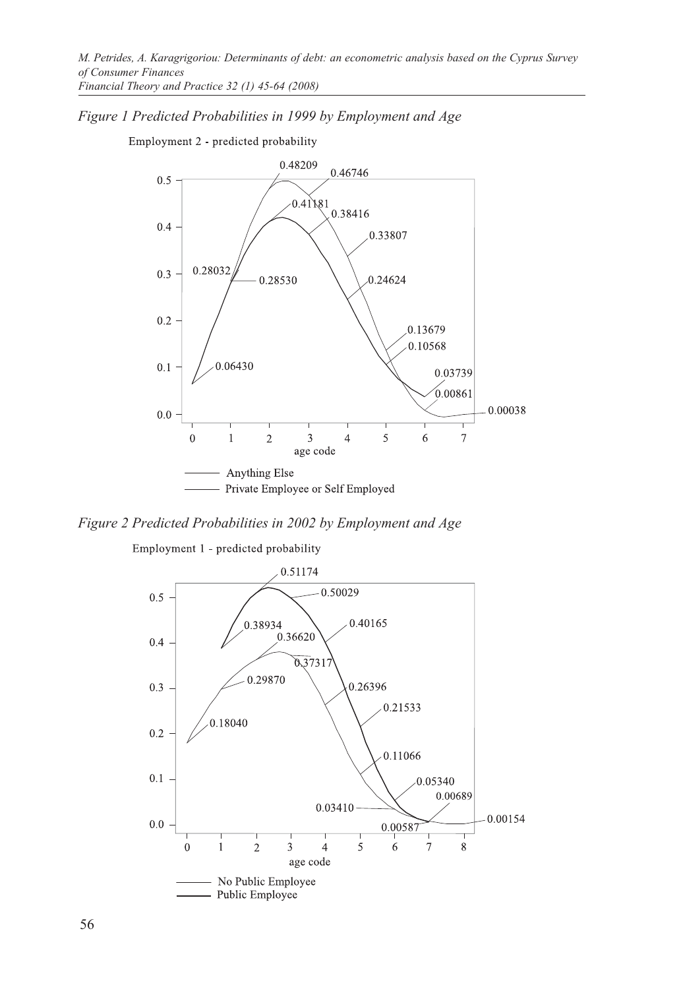*Figure 1 Predicted Probabilities in 1999 by Employment and Age* 

Employment 2 - predicted probability



*Figure 2 Predicted Probabilities in 2002 by Employment and Age*

Employment 1 - predicted probability

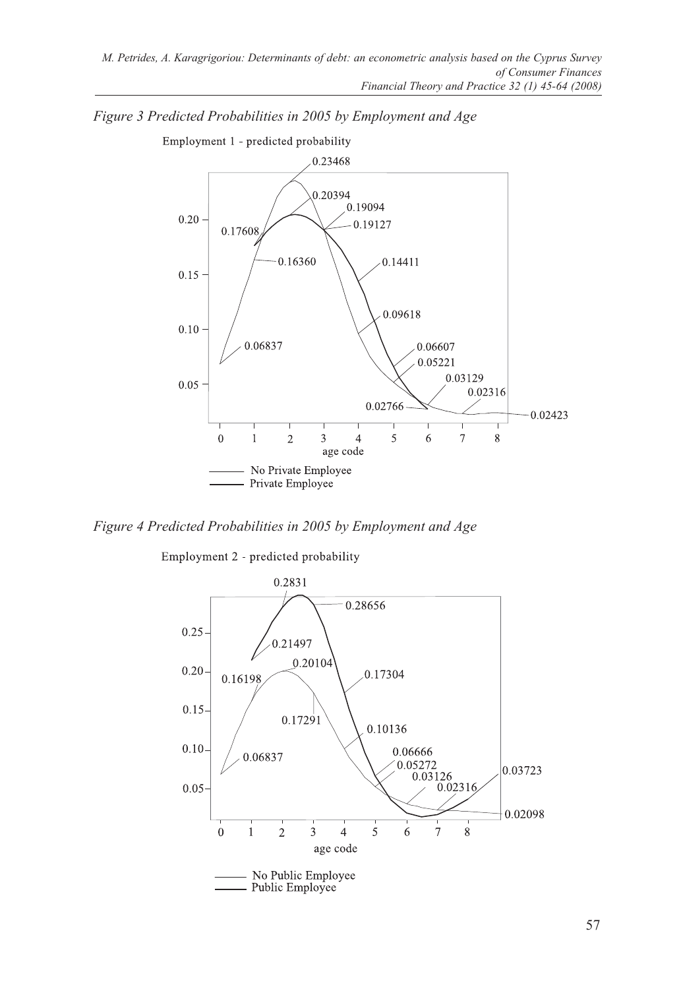

*Figure 3 Predicted Probabilities in 2005 by Employment and Age*

*Figure 4 Predicted Probabilities in 2005 by Employment and Age*

Employment 2 - predicted probability

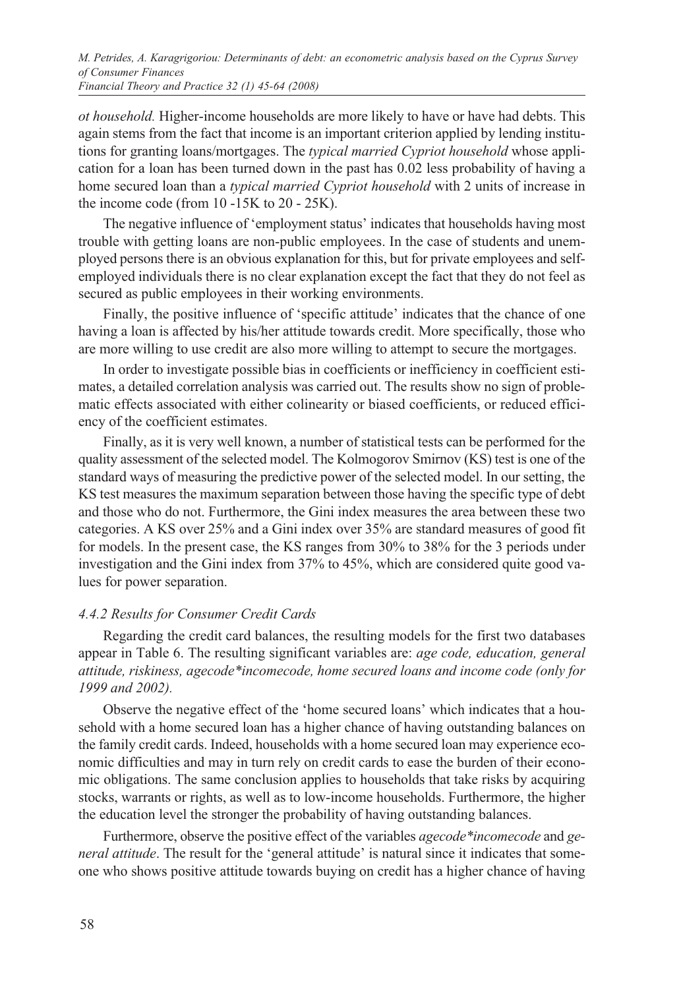*M. Petrides, A. Karagrigoriou: Determinants of debt: an econometric analysis based on the Cyprus Survey of Consumer Finances Financial Theory and Practice 32 (1) 45-64 (2008)*

*ot household.* Higher-income households are more likely to have or have had debts. This again stems from the fact that income is an important criterion applied by lending institutions for granting loans/mortgages. The *typical married Cypriot household* whose application for a loan has been turned down in the past has 0.02 less probability of having a home secured loan than a *typical married Cypriot household* with 2 units of increase in the income code (from 10 -15K to 20 - 25K).

The negative influence of 'employment status' indicates that households having most trouble with getting loans are non-public employees. In the case of students and unemployed persons there is an obvious explanation for this, but for private employees and selfemployed individuals there is no clear explanation except the fact that they do not feel as secured as public employees in their working environments.

Finally, the positive influence of 'specific attitude' indicates that the chance of one having a loan is affected by his/her attitude towards credit. More specifically, those who are more willing to use credit are also more willing to attempt to secure the mortgages.

In order to investigate possible bias in coefficients or inefficiency in coefficient estimates, a detailed correlation analysis was carried out. The results show no sign of problematic effects associated with either colinearity or biased coefficients, or reduced efficiency of the coefficient estimates.

Finally, as it is very well known, a number of statistical tests can be performed for the quality assessment of the selected model. The Kolmogorov Smirnov (KS) test is one of the standard ways of measuring the predictive power of the selected model. In our setting, the KS test measures the maximum separation between those having the specific type of debt and those who do not. Furthermore, the Gini index measures the area between these two categories. A KS over 25% and a Gini index over 35% are standard measures of good fit for models. In the present case, the KS ranges from 30% to 38% for the 3 periods under investigation and the Gini index from 37% to 45%, which are considered quite good values for power separation.

#### *4.4.2 Results for Consumer Credit Cards*

Regarding the credit card balances, the resulting models for the first two databases appear in Table 6. The resulting significant variables are: *age code, education, general attitude, riskiness, agecode\*incomecode, home secured loans and income code (only for 1999 and 2002).* 

Observe the negative effect of the 'home secured loans' which indicates that a household with a home secured loan has a higher chance of having outstanding balances on the family credit cards. Indeed, households with a home secured loan may experience economic difficulties and may in turn rely on credit cards to ease the burden of their economic obligations. The same conclusion applies to households that take risks by acquiring stocks, warrants or rights, as well as to low-income households. Furthermore, the higher the education level the stronger the probability of having outstanding balances.

Furthermore, observe the positive effect of the variables *agecode\*incomecode* and *general attitude*. The result for the 'general attitude' is natural since it indicates that someone who shows positive attitude towards buying on credit has a higher chance of having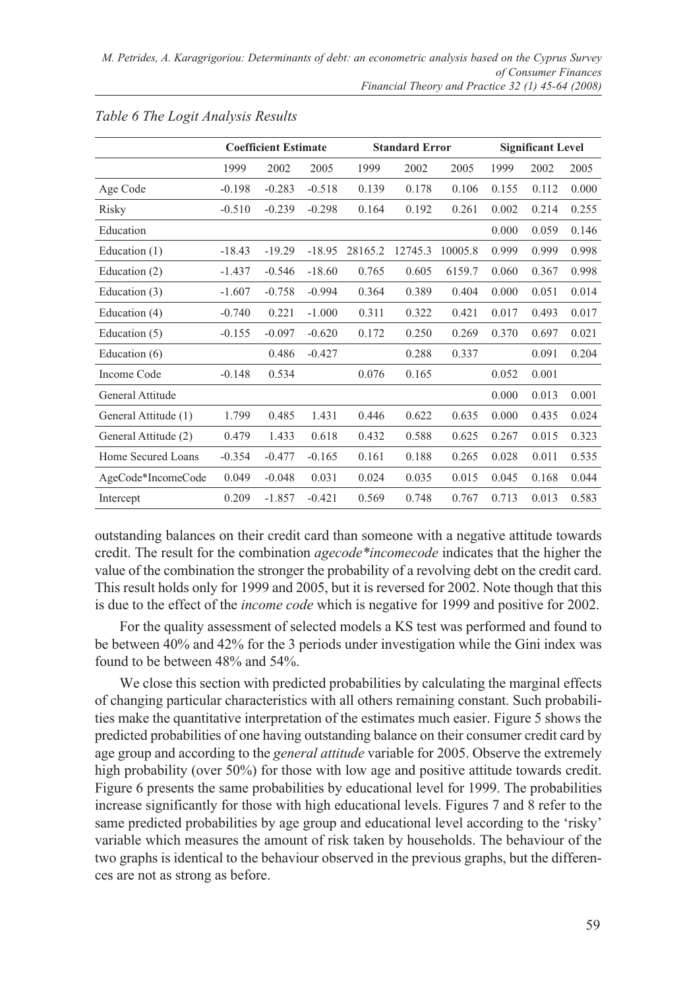|                      | <b>Coefficient Estimate</b> |          |          | <b>Standard Error</b> |         |         | <b>Significant Level</b> |       |       |
|----------------------|-----------------------------|----------|----------|-----------------------|---------|---------|--------------------------|-------|-------|
|                      | 1999                        | 2002     | 2005     | 1999                  | 2002    | 2005    | 1999                     | 2002  | 2005  |
| Age Code             | $-0.198$                    | $-0.283$ | $-0.518$ | 0.139                 | 0.178   | 0.106   | 0.155                    | 0.112 | 0.000 |
| Risky                | $-0.510$                    | $-0.239$ | $-0.298$ | 0.164                 | 0.192   | 0.261   | 0.002                    | 0.214 | 0.255 |
| Education            |                             |          |          |                       |         |         | 0.000                    | 0.059 | 0.146 |
| Education (1)        | $-18.43$                    | $-19.29$ | $-18.95$ | 28165.2               | 12745.3 | 10005.8 | 0.999                    | 0.999 | 0.998 |
| Education (2)        | $-1.437$                    | $-0.546$ | $-18.60$ | 0.765                 | 0.605   | 6159.7  | 0.060                    | 0.367 | 0.998 |
| Education (3)        | $-1.607$                    | $-0.758$ | $-0.994$ | 0.364                 | 0.389   | 0.404   | 0.000                    | 0.051 | 0.014 |
| Education (4)        | $-0.740$                    | 0.221    | $-1.000$ | 0.311                 | 0.322   | 0.421   | 0.017                    | 0.493 | 0.017 |
| Education (5)        | $-0.155$                    | $-0.097$ | $-0.620$ | 0.172                 | 0.250   | 0.269   | 0.370                    | 0.697 | 0.021 |
| Education (6)        |                             | 0.486    | $-0.427$ |                       | 0.288   | 0.337   |                          | 0.091 | 0.204 |
| Income Code          | $-0.148$                    | 0.534    |          | 0.076                 | 0.165   |         | 0.052                    | 0.001 |       |
| General Attitude     |                             |          |          |                       |         |         | 0.000                    | 0.013 | 0.001 |
| General Attitude (1) | 1.799                       | 0.485    | 1.431    | 0.446                 | 0.622   | 0.635   | 0.000                    | 0.435 | 0.024 |
| General Attitude (2) | 0.479                       | 1.433    | 0.618    | 0.432                 | 0.588   | 0.625   | 0.267                    | 0.015 | 0.323 |
| Home Secured Loans   | $-0.354$                    | $-0.477$ | $-0.165$ | 0.161                 | 0.188   | 0.265   | 0.028                    | 0.011 | 0.535 |
| AgeCode*IncomeCode   | 0.049                       | $-0.048$ | 0.031    | 0.024                 | 0.035   | 0.015   | 0.045                    | 0.168 | 0.044 |
| Intercept            | 0.209                       | $-1.857$ | $-0.421$ | 0.569                 | 0.748   | 0.767   | 0.713                    | 0.013 | 0.583 |

#### *Table 6 The Logit Analysis Results*

outstanding balances on their credit card than someone with a negative attitude towards credit. The result for the combination *agecode\*incomecode* indicates that the higher the value of the combination the stronger the probability of a revolving debt on the credit card. This result holds only for 1999 and 2005, but it is reversed for 2002. Note though that this is due to the effect of the *income code* which is negative for 1999 and positive for 2002.

For the quality assessment of selected models a KS test was performed and found to be between 40% and 42% for the 3 periods under investigation while the Gini index was found to be between 48% and 54%.

We close this section with predicted probabilities by calculating the marginal effects of changing particular characteristics with all others remaining constant. Such probabilities make the quantitative interpretation of the estimates much easier. Figure 5 shows the predicted probabilities of one having outstanding balance on their consumer credit card by age group and according to the *general attitude* variable for 2005. Observe the extremely high probability (over 50%) for those with low age and positive attitude towards credit. Figure 6 presents the same probabilities by educational level for 1999. The probabilities increase significantly for those with high educational levels. Figures 7 and 8 refer to the same predicted probabilities by age group and educational level according to the 'risky' variable which measures the amount of risk taken by households. The behaviour of the two graphs is identical to the behaviour observed in the previous graphs, but the differences are not as strong as before.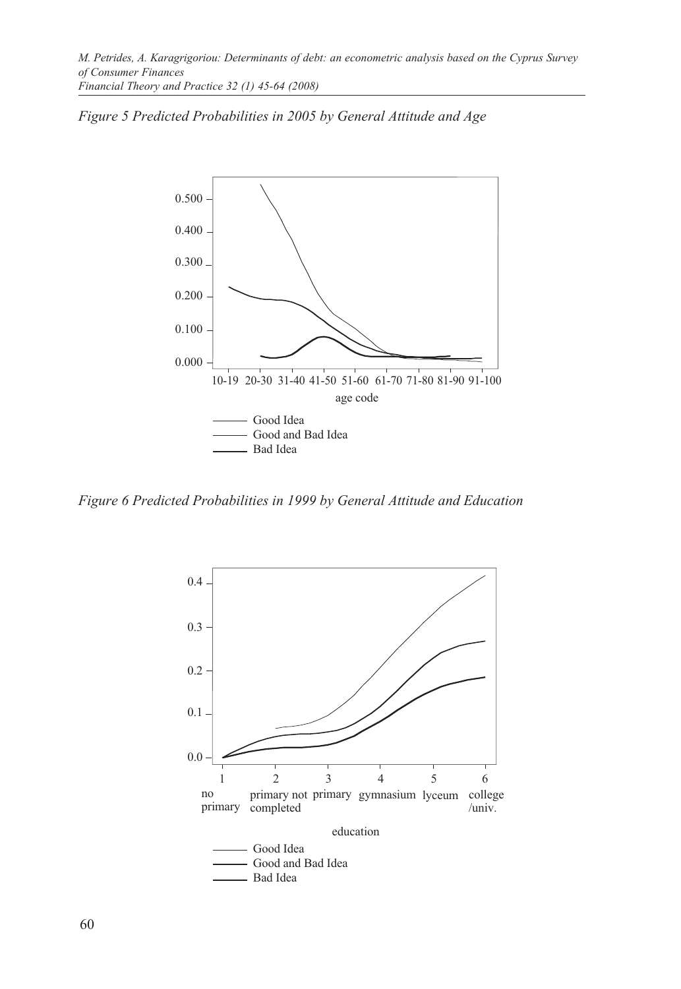



*Figure 6 Predicted Probabilities in 1999 by General Attitude and Education*

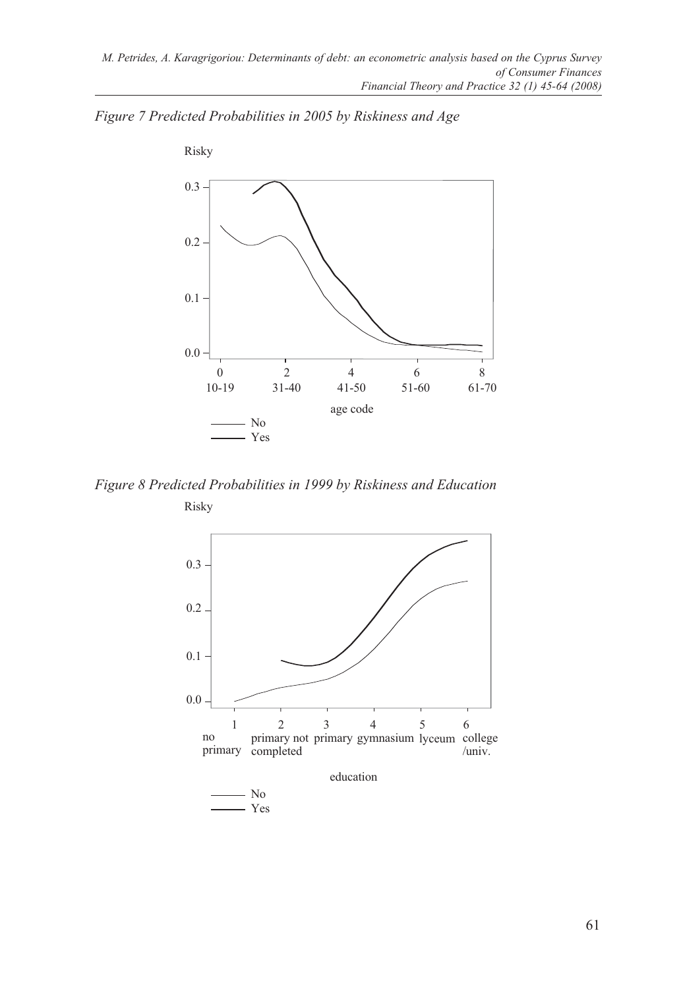



*Figure 8 Predicted Probabilities in 1999 by Riskiness and Education* Risky

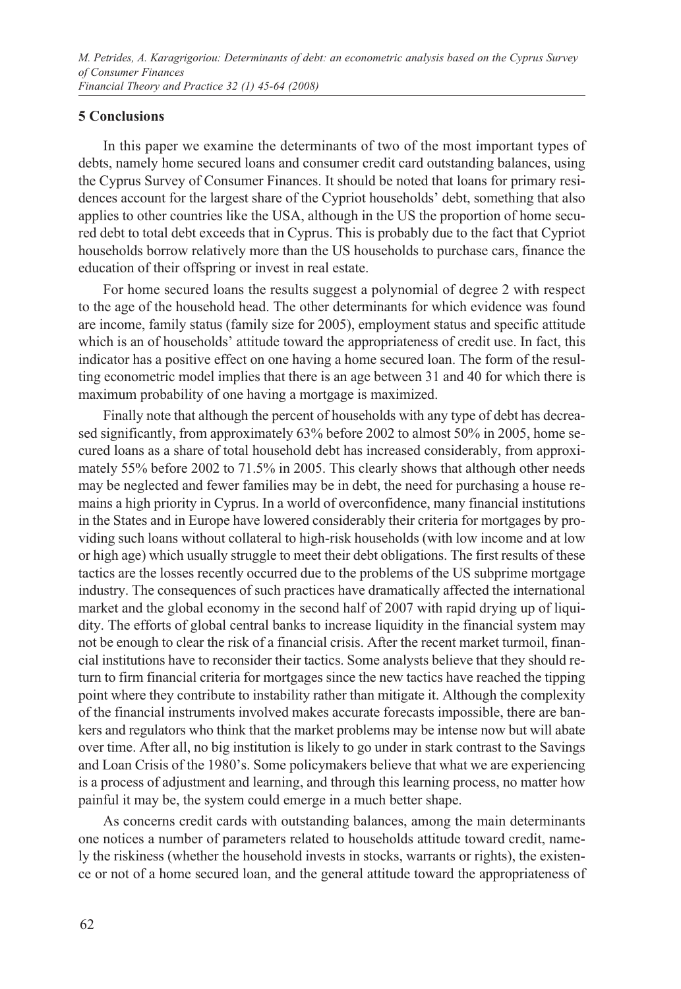## **5 Conclusions**

In this paper we examine the determinants of two of the most important types of debts, namely home secured loans and consumer credit card outstanding balances, using the Cyprus Survey of Consumer Finances. It should be noted that loans for primary residences account for the largest share of the Cypriot households' debt, something that also applies to other countries like the USA, although in the US the proportion of home secured debt to total debt exceeds that in Cyprus. This is probably due to the fact that Cypriot households borrow relatively more than the US households to purchase cars, finance the education of their offspring or invest in real estate.

For home secured loans the results suggest a polynomial of degree 2 with respect to the age of the household head. The other determinants for which evidence was found are income, family status (family size for 2005), employment status and specific attitude which is an of households' attitude toward the appropriateness of credit use. In fact, this indicator has a positive effect on one having a home secured loan. The form of the resulting econometric model implies that there is an age between 31 and 40 for which there is maximum probability of one having a mortgage is maximized.

Finally note that although the percent of households with any type of debt has decreased significantly, from approximately 63% before 2002 to almost 50% in 2005, home secured loans as a share of total household debt has increased considerably, from approximately 55% before 2002 to 71.5% in 2005. This clearly shows that although other needs may be neglected and fewer families may be in debt, the need for purchasing a house remains a high priority in Cyprus. In a world of overconfidence, many financial institutions in the States and in Europe have lowered considerably their criteria for mortgages by providing such loans without collateral to high-risk households (with low income and at low or high age) which usually struggle to meet their debt obligations. The first results of these tactics are the losses recently occurred due to the problems of the US subprime mortgage industry. The consequences of such practices have dramatically affected the international market and the global economy in the second half of 2007 with rapid drying up of liquidity. The efforts of global central banks to increase liquidity in the financial system may not be enough to clear the risk of a financial crisis. After the recent market turmoil, financial institutions have to reconsider their tactics. Some analysts believe that they should return to firm financial criteria for mortgages since the new tactics have reached the tipping point where they contribute to instability rather than mitigate it. Although the complexity of the financial instruments involved makes accurate forecasts impossible, there are bankers and regulators who think that the market problems may be intense now but will abate over time. After all, no big institution is likely to go under in stark contrast to the Savings and Loan Crisis of the 1980's. Some policymakers believe that what we are experiencing is a process of adjustment and learning, and through this learning process, no matter how painful it may be, the system could emerge in a much better shape.

As concerns credit cards with outstanding balances, among the main determinants one notices a number of parameters related to households attitude toward credit, namely the riskiness (whether the household invests in stocks, warrants or rights), the existence or not of a home secured loan, and the general attitude toward the appropriateness of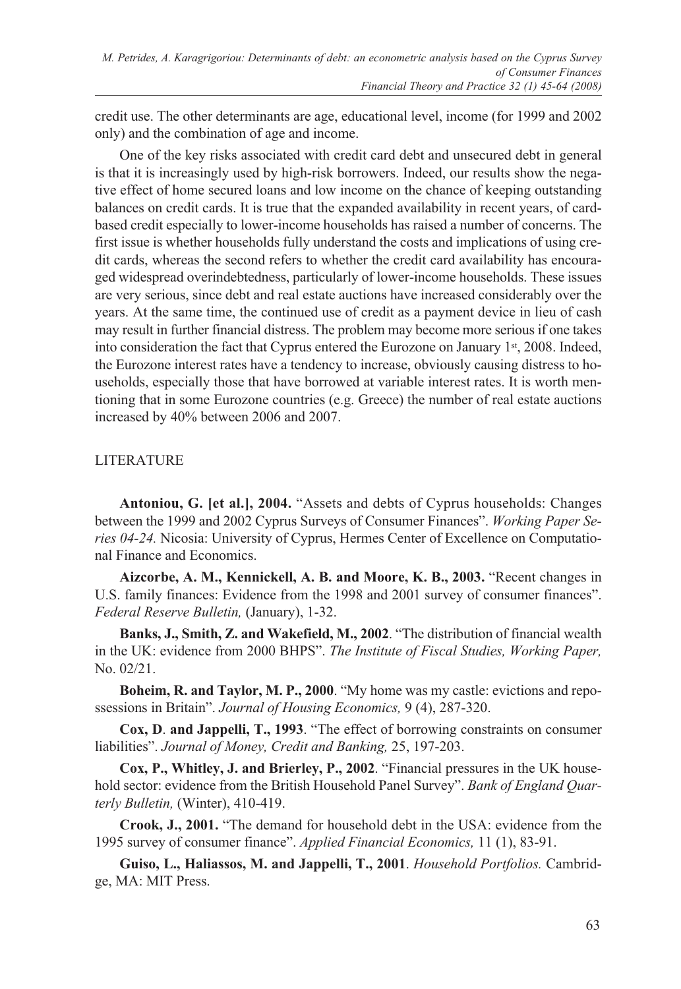credit use. The other determinants are age, educational level, income (for 1999 and 2002 only) and the combination of age and income.

One of the key risks associated with credit card debt and unsecured debt in general is that it is increasingly used by high-risk borrowers. Indeed, our results show the negative effect of home secured loans and low income on the chance of keeping outstanding balances on credit cards. It is true that the expanded availability in recent years, of cardbased credit especially to lower-income households has raised a number of concerns. The first issue is whether households fully understand the costs and implications of using credit cards, whereas the second refers to whether the credit card availability has encouraged widespread overindebtedness, particularly of lower-income households. These issues are very serious, since debt and real estate auctions have increased considerably over the years. At the same time, the continued use of credit as a payment device in lieu of cash may result in further financial distress. The problem may become more serious if one takes into consideration the fact that Cyprus entered the Eurozone on January 1st, 2008. Indeed, the Eurozone interest rates have a tendency to increase, obviously causing distress to households, especially those that have borrowed at variable interest rates. It is worth mentioning that in some Eurozone countries (e.g. Greece) the number of real estate auctions increased by 40% between 2006 and 2007.

# LITERATURE

**Antoniou, G. [et al.], 2004.** "Assets and debts of Cyprus households: Changes between the 1999 and 2002 Cyprus Surveys of Consumer Finances". *Working Paper Series 04-24.* Nicosia: University of Cyprus, Hermes Center of Excellence on Computational Finance and Economics.

**Aizcorbe, A. M., Kennickell, A. B. and Moore, K. B., 2003.** "Recent changes in U.S. family finances: Evidence from the 1998 and 2001 survey of consumer finances". *Federal Reserve Bulletin,* (January), 1-32.

**Banks, J., Smith, Z. and Wakefield, M., 2002**. "The distribution of financial wealth in the UK: evidence from 2000 BHPS". *The Institute of Fiscal Studies, Working Paper,*  No. 02/21.

**Boheim, R. and Taylor, M. P., 2000**. "My home was my castle: evictions and repossessions in Britain". *Journal of Housing Economics,* 9 (4), 287-320.

**Cox, D**. **and Jappelli, T., 1993**. "The effect of borrowing constraints on consumer liabilities". *Journal of Money, Credit and Banking,* 25, 197-203.

**Cox, P., Whitley, J. and Brierley, P., 2002**. "Financial pressures in the UK household sector: evidence from the British Household Panel Survey". *Bank of England Quarterly Bulletin,* (Winter), 410-419.

**Crook, J., 2001.** "The demand for household debt in the USA: evidence from the 1995 survey of consumer finance". *Applied Financial Economics,* 11 (1), 83-91.

**Guiso, L., Haliassos, M. and Jappelli, T., 2001**. *Household Portfolios.* Cambridge, MA: MIT Press.